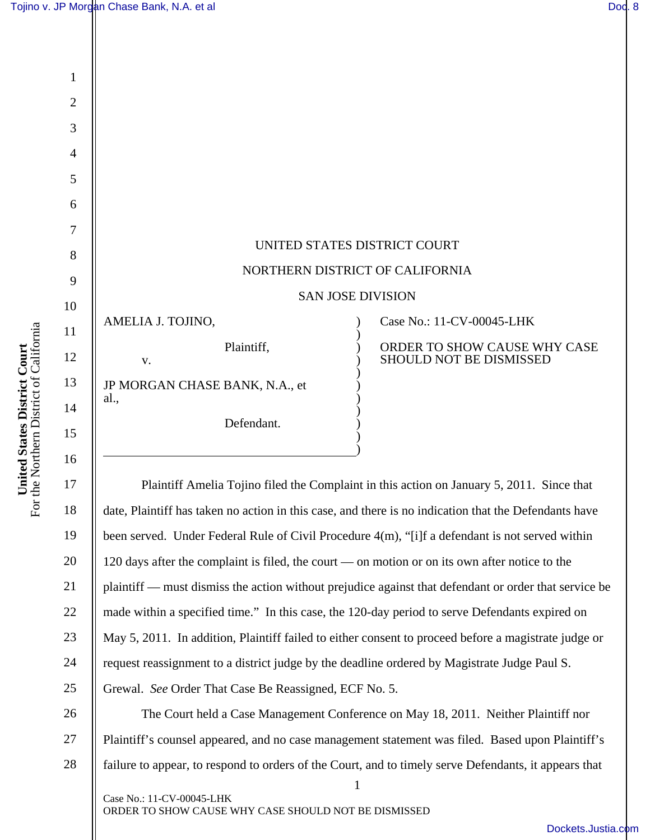

Plaintiff Amelia Tojino filed the Complaint in this action on January 5, 2011. Since that date, Plaintiff has taken no action in this case, and there is no indication that the Defendants have been served. Under Federal Rule of Civil Procedure 4(m), "[i]f a defendant is not served within 120 days after the complaint is filed, the court — on motion or on its own after notice to the plaintiff — must dismiss the action without prejudice against that defendant or order that service be made within a specified time." In this case, the 120-day period to serve Defendants expired on May 5, 2011. In addition, Plaintiff failed to either consent to proceed before a magistrate judge or request reassignment to a district judge by the deadline ordered by Magistrate Judge Paul S. Grewal. *See* Order That Case Be Reassigned, ECF No. 5.

)

26 27 28 The Court held a Case Management Conference on May 18, 2011. Neither Plaintiff nor Plaintiff's counsel appeared, and no case management statement was filed. Based upon Plaintiff's failure to appear, to respond to orders of the Court, and to timely serve Defendants, it appears that

1

Case No.: 11-CV-00045-LHK ORDER TO SHOW CAUSE WHY CASE SHOULD NOT BE DISMISSED

16

I

17

18

19

20

21

22

23

24

25